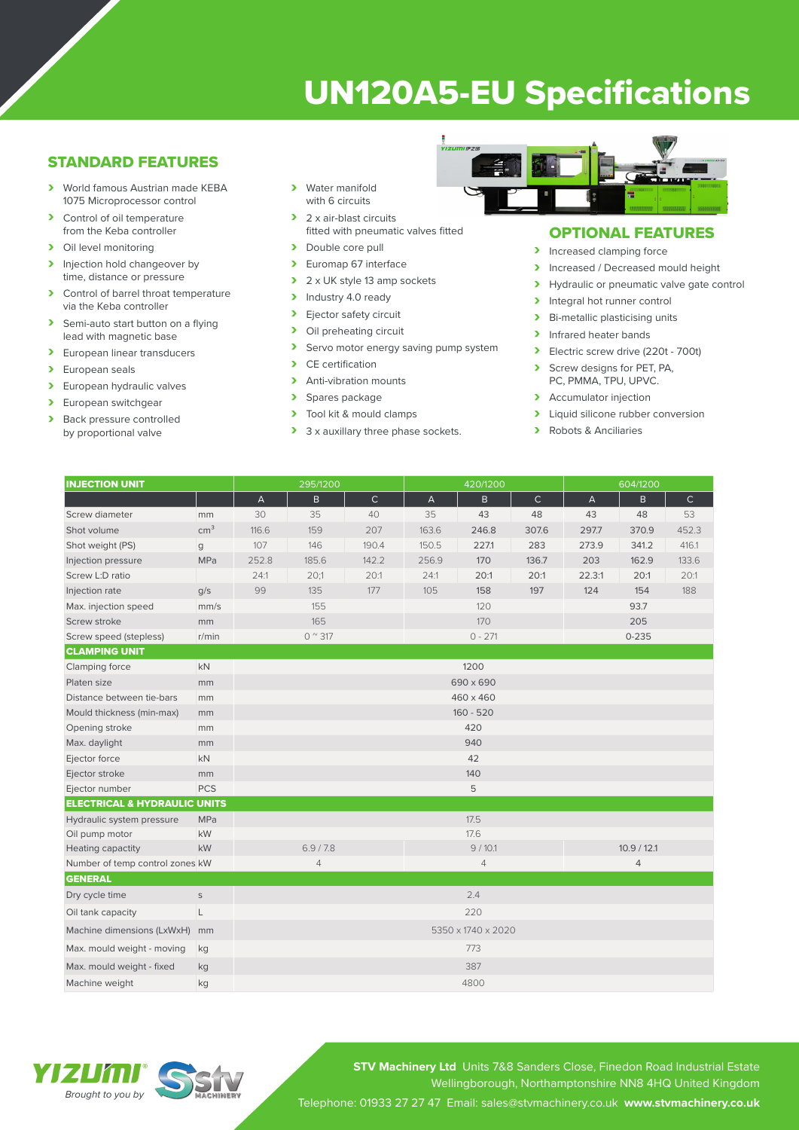# UN120A5-EU Specifications

## STANDARD FEATURES

- › World famous Austrian made KEBA 1075 Microprocessor control
- > Control of oil temperature from the Keba controller
- > Oil level monitoring<br>> Injection hold change
- Injection hold changeover by time, distance or pressure
- › Control of barrel throat temperature via the Keba controller
- > Semi-auto start button on a flying lead with magnetic base
- > European linear transducers<br>> European seals
- European seals
- > European hydraulic valves<br>> European switchgear
- European switchgear
- > Back pressure controlled by proportional valve
- with 6 circuits > 2 x air-blast circuits
- fitted with pneumatic valves fitted
- > Double core pull<br>> Euroman 67 inter
- Euromap 67 interface
- $\geq 2 \times UK$  style 13 amp sockets<br>  $\geq 1$ ndustrv 4.0 readv
- $\triangleright$  Industry 4.0 ready
- Ejector safety circuit
- > Oil preheating circuit<br>> Servo motor energy
- Servo motor energy saving pump system
- > CE certification<br>
> Anti-vibration m
- Anti-vibration mounts
- > Spares package
- $\triangleright$  Tool kit & mould clamps
- 3 x auxillary three phase sockets.



## OPTIONAL FEATURES

- > Increased clamping force
- > Increased / Decreased mould height
- > Hydraulic or pneumatic valve gate control<br>> Integral hot runner control
- Integral hot runner control
- › Bi-metallic plasticising units
- > Infrared heater bands
- **>** Electric screw drive (220t 700t)
- › Screw designs for PET, PA,
- PC, PMMA, TPU, UPVC.
- > Accumulator injection
- > Liquid silicone rubber conversion
- › Robots & Anciliaries

| <b>INJECTION UNIT</b>                   |                 | 295/1200           |       |              | 420/1200       |       |              | 604/1200       |       |             |
|-----------------------------------------|-----------------|--------------------|-------|--------------|----------------|-------|--------------|----------------|-------|-------------|
|                                         |                 | $\overline{A}$     | B     | $\mathsf{C}$ | A              | B     | $\mathsf{C}$ | $\overline{A}$ | B     | $\mathsf C$ |
| Screw diameter                          | mm              | 30                 | 35    | 40           | 35             | 43    | 48           | 43             | 48    | 53          |
| Shot volume                             | cm <sup>3</sup> | 116.6              | 159   | 207          | 163.6          | 246.8 | 307.6        | 297.7          | 370.9 | 452.3       |
| Shot weight (PS)                        | $\mathbf{q}$    | 107                | 146   | 190.4        | 150.5          | 227.1 | 283          | 273.9          | 341.2 | 416.1       |
| Injection pressure                      | <b>MPa</b>      | 252.8              | 185.6 | 142.2        | 256.9          | 170   | 136.7        | 203            | 162.9 | 133.6       |
| Screw L:D ratio                         |                 | 24:1               | 20:1  | 20:1         | 24:1           | 20:1  | 20:1         | 22.3:1         | 20:1  | 20:1        |
| Injection rate                          | q/s             | 99                 | 135   | 177          | 105            | 158   | 197          | 124            | 154   | 188         |
| Max. injection speed                    | mm/s            | 155                |       |              | 120            |       |              | 93.7           |       |             |
| Screw stroke                            | mm              | 165                |       |              | 170            |       |              | 205            |       |             |
| Screw speed (stepless)                  | r/min           | $0^{\circ}317$     |       |              | $0 - 271$      |       |              | $0 - 235$      |       |             |
| <b>CLAMPING UNIT</b>                    |                 |                    |       |              |                |       |              |                |       |             |
| Clamping force                          | <b>kN</b>       | 1200               |       |              |                |       |              |                |       |             |
| Platen size                             | mm              | 690 x 690          |       |              |                |       |              |                |       |             |
| Distance between tie-bars               | mm              | 460 x 460          |       |              |                |       |              |                |       |             |
| Mould thickness (min-max)               | mm              | $160 - 520$        |       |              |                |       |              |                |       |             |
| Opening stroke                          | mm              | 420                |       |              |                |       |              |                |       |             |
| Max. daylight                           | mm              | 940                |       |              |                |       |              |                |       |             |
| Ejector force                           | kN              | 42                 |       |              |                |       |              |                |       |             |
| Ejector stroke                          | mm              | 140                |       |              |                |       |              |                |       |             |
| Ejector number                          | <b>PCS</b>      |                    |       |              |                | 5     |              |                |       |             |
| <b>ELECTRICAL &amp; HYDRAULIC UNITS</b> |                 |                    |       |              |                |       |              |                |       |             |
| Hydraulic system pressure               | MPa             |                    |       |              | 17.5           |       |              |                |       |             |
| Oil pump motor                          | <b>kW</b>       |                    |       |              | 17.6           |       |              |                |       |             |
| Heating capactity                       | kW              | 6.9 / 7.8          |       |              | 9/10.1         |       |              | 10.9 / 12.1    |       |             |
| Number of temp control zones kW         |                 | $\overline{4}$     |       |              | $\overline{4}$ |       |              | $\overline{4}$ |       |             |
| <b>GENERAL</b>                          |                 |                    |       |              |                |       |              |                |       |             |
| Dry cycle time                          | $\mathsf S$     | 2.4                |       |              |                |       |              |                |       |             |
| Oil tank capacity                       | L               | 220                |       |              |                |       |              |                |       |             |
| Machine dimensions (LxWxH)              | mm              | 5350 x 1740 x 2020 |       |              |                |       |              |                |       |             |
| Max. mould weight - moving              | kg              | 773                |       |              |                |       |              |                |       |             |
| Max. mould weight - fixed               | kg              | 387                |       |              |                |       |              |                |       |             |
| Machine weight                          | kg              |                    |       |              | 4800           |       |              |                |       |             |



**STV Machinery Ltd** Units 7&8 Sanders Close, Finedon Road Industrial Estate Wellingborough, Northamptonshire NN8 4HQ United Kingdom Telephone: 01933 27 27 47 Email: sales@stvmachinery.co.uk **www.stvmachinery.co.uk**

› Water manifold